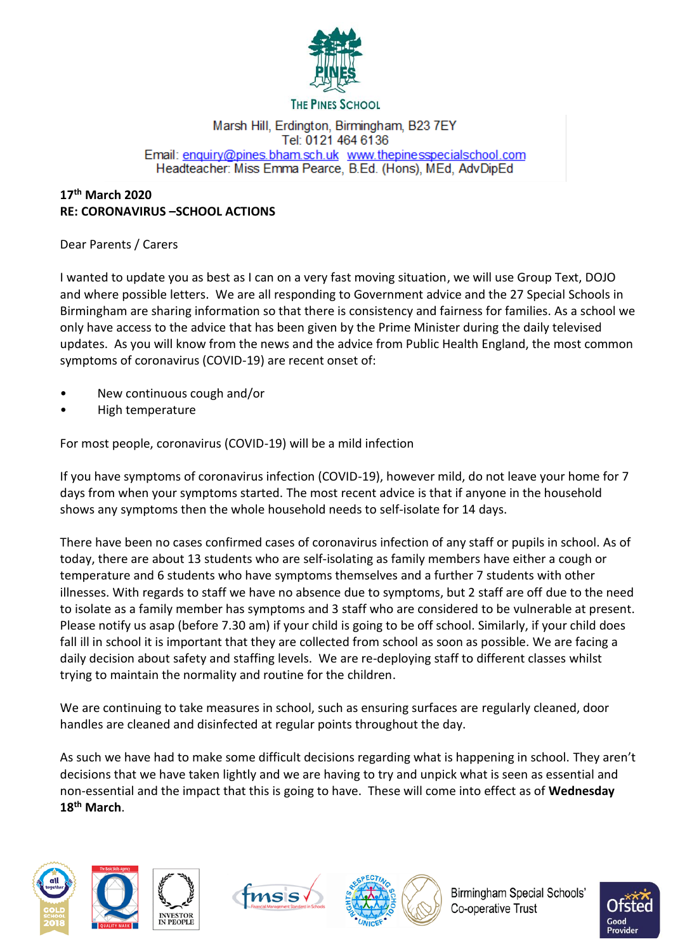

#### **THE PINES SCHOOL**

#### Marsh Hill, Erdington, Birmingham, B23 7EY Tel: 0121 464 6136 Email: enquiry@pines.bham.sch.uk www.thepinesspecialschool.com Headteacher: Miss Emma Pearce, B.Ed. (Hons), MEd, AdvDipEd

## **17 th March 2020 RE: CORONAVIRUS –SCHOOL ACTIONS**

Dear Parents / Carers

I wanted to update you as best as I can on a very fast moving situation, we will use Group Text, DOJO and where possible letters. We are all responding to Government advice and the 27 Special Schools in Birmingham are sharing information so that there is consistency and fairness for families. As a school we only have access to the advice that has been given by the Prime Minister during the daily televised updates. As you will know from the news and the advice from Public Health England, the most common symptoms of coronavirus (COVID-19) are recent onset of:

- New continuous cough and/or
- High temperature

For most people, coronavirus (COVID-19) will be a mild infection

If you have symptoms of coronavirus infection (COVID-19), however mild, do not leave your home for 7 days from when your symptoms started. The most recent advice is that if anyone in the household shows any symptoms then the whole household needs to self-isolate for 14 days.

There have been no cases confirmed cases of coronavirus infection of any staff or pupils in school. As of today, there are about 13 students who are self-isolating as family members have either a cough or temperature and 6 students who have symptoms themselves and a further 7 students with other illnesses. With regards to staff we have no absence due to symptoms, but 2 staff are off due to the need to isolate as a family member has symptoms and 3 staff who are considered to be vulnerable at present. Please notify us asap (before 7.30 am) if your child is going to be off school. Similarly, if your child does fall ill in school it is important that they are collected from school as soon as possible. We are facing a daily decision about safety and staffing levels. We are re-deploying staff to different classes whilst trying to maintain the normality and routine for the children.

We are continuing to take measures in school, such as ensuring surfaces are regularly cleaned, door handles are cleaned and disinfected at regular points throughout the day.

As such we have had to make some difficult decisions regarding what is happening in school. They aren't decisions that we have taken lightly and we are having to try and unpick what is seen as essential and non-essential and the impact that this is going to have. These will come into effect as of **Wednesday 18th March**.